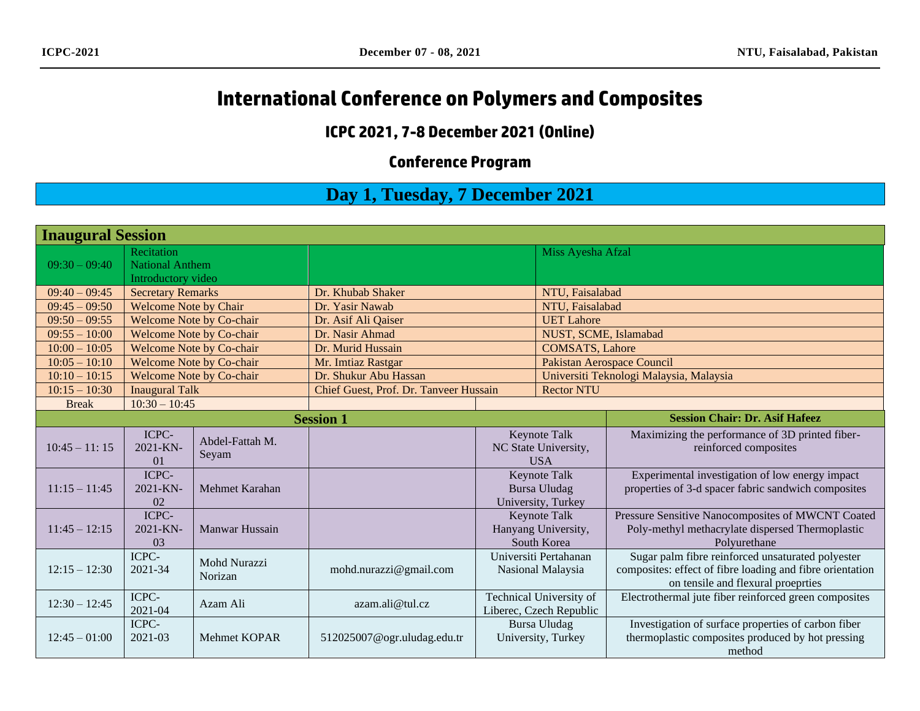# **International Conference on Polymers and Composites**

#### **ICPC 2021, 7-8 December 2021 (Online)**

## **Conference Program**

## **Day 1, Tuesday, 7 December 2021**

| <b>Inaugural Session</b> |                                                            |                                |                                        |                                                                  |                                                    |                                                                                                                                                      |  |
|--------------------------|------------------------------------------------------------|--------------------------------|----------------------------------------|------------------------------------------------------------------|----------------------------------------------------|------------------------------------------------------------------------------------------------------------------------------------------------------|--|
| $09:30 - 09:40$          | Recitation<br><b>National Anthem</b><br>Introductory video |                                |                                        |                                                                  | Miss Ayesha Afzal                                  |                                                                                                                                                      |  |
| $09:40 - 09:45$          | <b>Secretary Remarks</b>                                   |                                | Dr. Khubab Shaker                      |                                                                  | NTU, Faisalabad                                    |                                                                                                                                                      |  |
| $09:45 - 09:50$          | <b>Welcome Note by Chair</b>                               |                                | Dr. Yasir Nawab                        |                                                                  | NTU, Faisalabad                                    |                                                                                                                                                      |  |
| $09:50 - 09:55$          | <b>Welcome Note by Co-chair</b>                            |                                | Dr. Asif Ali Qaiser                    |                                                                  | <b>UET Lahore</b>                                  |                                                                                                                                                      |  |
| $09:55 - 10:00$          | <b>Welcome Note by Co-chair</b>                            |                                | Dr. Nasir Ahmad                        |                                                                  | NUST, SCME, Islamabad                              |                                                                                                                                                      |  |
| $10:00 - 10:05$          | <b>Welcome Note by Co-chair</b>                            |                                | Dr. Murid Hussain                      |                                                                  | <b>COMSATS</b> , Lahore                            |                                                                                                                                                      |  |
| $10:05 - 10:10$          | <b>Welcome Note by Co-chair</b>                            |                                | Mr. Imtiaz Rastgar                     |                                                                  | <b>Pakistan Aerospace Council</b>                  |                                                                                                                                                      |  |
| $10:10 - 10:15$          | <b>Welcome Note by Co-chair</b>                            |                                | Dr. Shukur Abu Hassan                  |                                                                  |                                                    | Universiti Teknologi Malaysia, Malaysia                                                                                                              |  |
| $10:15 - 10:30$          | <b>Inaugural Talk</b>                                      |                                | Chief Guest, Prof. Dr. Tanveer Hussain |                                                                  | <b>Rector NTU</b>                                  |                                                                                                                                                      |  |
| <b>Break</b>             | $10:30 - 10:45$                                            |                                |                                        |                                                                  |                                                    |                                                                                                                                                      |  |
|                          |                                                            |                                | <b>Session 1</b>                       |                                                                  |                                                    | <b>Session Chair: Dr. Asif Hafeez</b>                                                                                                                |  |
| $10:45 - 11:15$          | ICPC-<br>2021-KN-<br>$\overline{01}$                       | Abdel-Fattah M.<br>Seyam       |                                        |                                                                  | Keynote Talk<br>NC State University,<br><b>USA</b> | Maximizing the performance of 3D printed fiber-<br>reinforced composites                                                                             |  |
| $11:15 - 11:45$          | ICPC-<br>$2021 - KN -$<br>02                               | Mehmet Karahan                 |                                        | <b>Keynote Talk</b><br><b>Bursa Uludag</b><br>University, Turkey |                                                    | Experimental investigation of low energy impact<br>properties of 3-d spacer fabric sandwich composites                                               |  |
| $11:45 - 12:15$          | ICPC-<br>2021-KN-<br>03                                    | Manwar Hussain                 |                                        | Keynote Talk<br>Hanyang University,<br>South Korea               |                                                    | Pressure Sensitive Nanocomposites of MWCNT Coated<br>Poly-methyl methacrylate dispersed Thermoplastic<br>Polyurethane                                |  |
| $12:15 - 12:30$          | ICPC-<br>2021-34                                           | <b>Mohd Nurazzi</b><br>Norizan | mohd.nurazzi@gmail.com                 | Universiti Pertahanan<br>Nasional Malaysia                       |                                                    | Sugar palm fibre reinforced unsaturated polyester<br>composites: effect of fibre loading and fibre orientation<br>on tensile and flexural proeprties |  |
| $12:30 - 12:45$          | ICPC-<br>2021-04                                           | Azam Ali                       | azam.ali@tul.cz                        | Technical University of<br>Liberec, Czech Republic               |                                                    | Electrothermal jute fiber reinforced green composites                                                                                                |  |
| $12:45 - 01:00$          | ICPC-<br>$2021 - 03$                                       | Mehmet KOPAR                   | 512025007@ogr.uludag.edu.tr            | <b>Bursa Uludag</b><br>University, Turkey                        |                                                    | Investigation of surface properties of carbon fiber<br>thermoplastic composites produced by hot pressing<br>method                                   |  |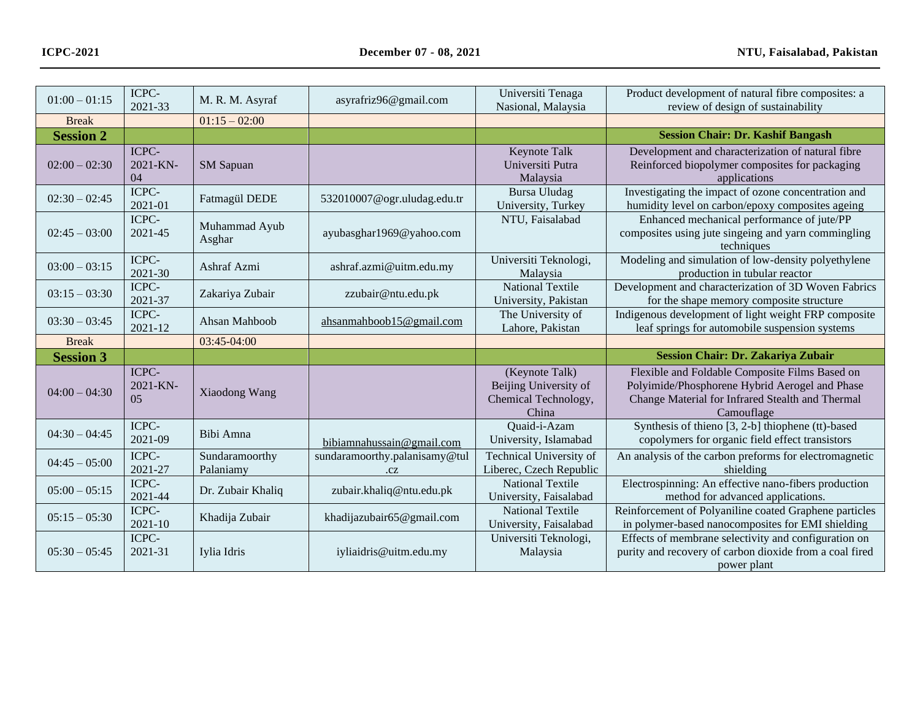| $01:00 - 01:15$  | ICPC-<br>2021-33         | M. R. M. Asyraf             | asyrafriz96@gmail.com               | Universiti Tenaga<br>Nasional, Malaysia                                  | Product development of natural fibre composites: a<br>review of design of sustainability                                                                           |
|------------------|--------------------------|-----------------------------|-------------------------------------|--------------------------------------------------------------------------|--------------------------------------------------------------------------------------------------------------------------------------------------------------------|
| <b>Break</b>     |                          | $01:15 - 02:00$             |                                     |                                                                          |                                                                                                                                                                    |
| <b>Session 2</b> |                          |                             |                                     |                                                                          | <b>Session Chair: Dr. Kashif Bangash</b>                                                                                                                           |
| $02:00 - 02:30$  | ICPC-<br>2021-KN-<br>04  | <b>SM</b> Sapuan            |                                     | Keynote Talk<br>Universiti Putra<br>Malaysia                             | Development and characterization of natural fibre<br>Reinforced biopolymer composites for packaging<br>applications                                                |
| $02:30 - 02:45$  | ICPC-<br>2021-01         | Fatmagül DEDE               | 532010007@ogr.uludag.edu.tr         | <b>Bursa Uludag</b><br>University, Turkey                                | Investigating the impact of ozone concentration and<br>humidity level on carbon/epoxy composites ageing                                                            |
| $02:45 - 03:00$  | ICPC-<br>2021-45         | Muhammad Ayub<br>Asghar     | ayubasghar1969@yahoo.com            | NTU, Faisalabad                                                          | Enhanced mechanical performance of jute/PP<br>composites using jute singeing and yarn commingling<br>techniques                                                    |
| $03:00 - 03:15$  | ICPC-<br>2021-30         | Ashraf Azmi                 | ashraf.azmi@uitm.edu.my             | Universiti Teknologi,<br>Malaysia                                        | Modeling and simulation of low-density polyethylene<br>production in tubular reactor                                                                               |
| $03:15 - 03:30$  | ICPC-<br>2021-37         | Zakariya Zubair             | zzubair@ntu.edu.pk                  | <b>National Textile</b><br>University, Pakistan                          | Development and characterization of 3D Woven Fabrics<br>for the shape memory composite structure                                                                   |
| $03:30 - 03:45$  | ICPC-<br>2021-12         | Ahsan Mahboob               | ahsanmahboob15@gmail.com            | The University of<br>Lahore, Pakistan                                    | Indigenous development of light weight FRP composite<br>leaf springs for automobile suspension systems                                                             |
| <b>Break</b>     |                          | 03:45-04:00                 |                                     |                                                                          |                                                                                                                                                                    |
| <b>Session 3</b> |                          |                             |                                     |                                                                          | <b>Session Chair: Dr. Zakariya Zubair</b>                                                                                                                          |
| $04:00 - 04:30$  | ICPC-<br>2021-KN-<br>0.5 | Xiaodong Wang               |                                     | (Keynote Talk)<br>Beijing University of<br>Chemical Technology,<br>China | Flexible and Foldable Composite Films Based on<br>Polyimide/Phosphorene Hybrid Aerogel and Phase<br>Change Material for Infrared Stealth and Thermal<br>Camouflage |
| $04:30 - 04:45$  | ICPC-<br>2021-09         | Bibi Amna                   | bibiamnahussain@gmail.com           | Quaid-i-Azam<br>University, Islamabad                                    | Synthesis of thieno [3, 2-b] thiophene (tt)-based<br>copolymers for organic field effect transistors                                                               |
| $04:45 - 05:00$  | ICPC-<br>2021-27         | Sundaramoorthy<br>Palaniamy | sundaramoorthy.palanisamy@tul<br>CZ | Technical University of<br>Liberec, Czech Republic                       | An analysis of the carbon preforms for electromagnetic<br>shielding                                                                                                |
| $05:00 - 05:15$  | ICPC-<br>2021-44         | Dr. Zubair Khaliq           | zubair.khaliq@ntu.edu.pk            | <b>National Textile</b><br>University, Faisalabad                        | Electrospinning: An effective nano-fibers production<br>method for advanced applications.                                                                          |
| $05:15 - 05:30$  | ICPC-<br>2021-10         | Khadija Zubair              | khadijazubair65@gmail.com           | <b>National Textile</b><br>University, Faisalabad                        | Reinforcement of Polyaniline coated Graphene particles<br>in polymer-based nanocomposites for EMI shielding                                                        |
| $05:30 - 05:45$  | ICPC-<br>2021-31         | Iylia Idris                 | iyliaidris@uitm.edu.my              | Universiti Teknologi,<br>Malaysia                                        | Effects of membrane selectivity and configuration on<br>purity and recovery of carbon dioxide from a coal fired<br>power plant                                     |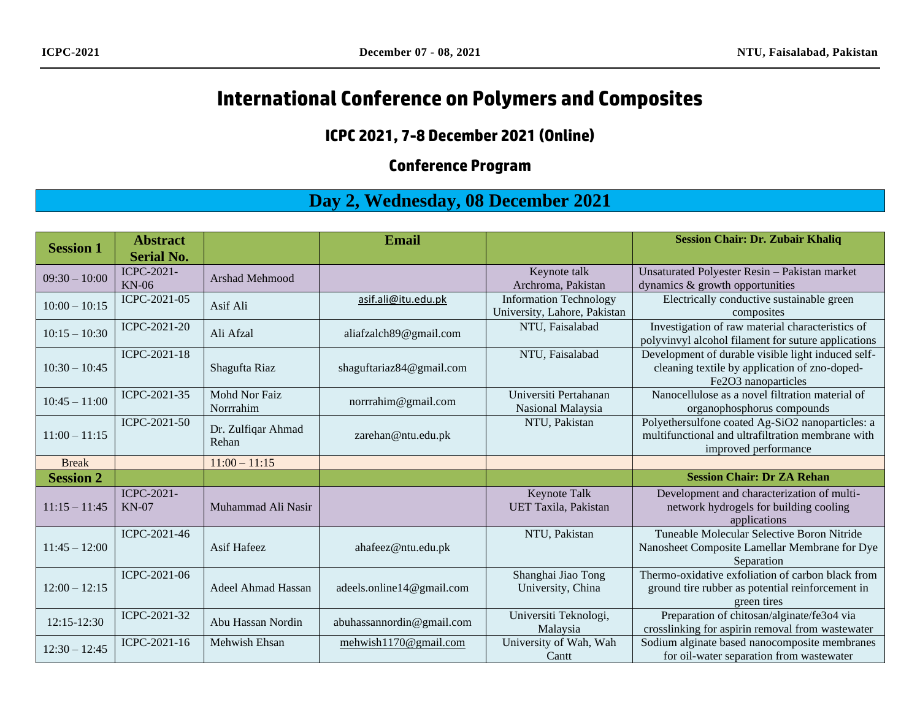# **International Conference on Polymers and Composites**

#### **ICPC 2021, 7-8 December 2021 (Online)**

### **Conference Program**

## **Day 2, Wednesday, 08 December 2021**

| <b>Session 1</b> | <b>Abstract</b>   |                       | <b>Email</b>              |                               | <b>Session Chair: Dr. Zubair Khaliq</b>             |
|------------------|-------------------|-----------------------|---------------------------|-------------------------------|-----------------------------------------------------|
|                  | <b>Serial No.</b> |                       |                           |                               |                                                     |
| $09:30 - 10:00$  | ICPC-2021-        | <b>Arshad Mehmood</b> |                           | Keynote talk                  | Unsaturated Polyester Resin - Pakistan market       |
|                  | $KN-06$           |                       |                           | Archroma, Pakistan            | dynamics & growth opportunities                     |
| $10:00 - 10:15$  | ICPC-2021-05      | Asif Ali              | asif.ali@itu.edu.pk       | <b>Information Technology</b> | Electrically conductive sustainable green           |
|                  |                   |                       |                           | University, Lahore, Pakistan  | composites                                          |
| $10:15 - 10:30$  | ICPC-2021-20      | Ali Afzal             | aliafzalch89@gmail.com    | NTU, Faisalabad               | Investigation of raw material characteristics of    |
|                  |                   |                       |                           |                               | polyvinvyl alcohol filament for suture applications |
|                  | ICPC-2021-18      |                       |                           | NTU, Faisalabad               | Development of durable visible light induced self-  |
| $10:30 - 10:45$  |                   | Shagufta Riaz         | shaguftariaz84@gmail.com  |                               | cleaning textile by application of zno-doped-       |
|                  |                   |                       |                           |                               | Fe2O3 nanoparticles                                 |
| $10:45 - 11:00$  | ICPC-2021-35      | <b>Mohd Nor Faiz</b>  | norrrahim@gmail.com       | Universiti Pertahanan         | Nanocellulose as a novel filtration material of     |
|                  |                   | Norrrahim             |                           | Nasional Malaysia             | organophosphorus compounds                          |
|                  | ICPC-2021-50      | Dr. Zulfiqar Ahmad    |                           | NTU, Pakistan                 | Polyethersulfone coated Ag-SiO2 nanoparticles: a    |
| $11:00 - 11:15$  |                   | Rehan                 | zarehan@ntu.edu.pk        |                               | multifunctional and ultrafiltration membrane with   |
|                  |                   |                       |                           |                               | improved performance                                |
| <b>Break</b>     |                   | $11:00 - 11:15$       |                           |                               |                                                     |
| <b>Session 2</b> |                   |                       |                           |                               | <b>Session Chair: Dr ZA Rehan</b>                   |
|                  | ICPC-2021-        |                       |                           | Keynote Talk                  | Development and characterization of multi-          |
| $11:15 - 11:45$  | $KN-07$           | Muhammad Ali Nasir    |                           | UET Taxila, Pakistan          | network hydrogels for building cooling              |
|                  |                   |                       |                           |                               | applications                                        |
|                  | ICPC-2021-46      |                       |                           | NTU, Pakistan                 | Tuneable Molecular Selective Boron Nitride          |
| $11:45 - 12:00$  |                   | Asif Hafeez           | ahafeez@ntu.edu.pk        |                               | Nanosheet Composite Lamellar Membrane for Dye       |
|                  |                   |                       |                           |                               | Separation                                          |
|                  | ICPC-2021-06      |                       |                           | Shanghai Jiao Tong            | Thermo-oxidative exfoliation of carbon black from   |
| $12:00 - 12:15$  |                   | Adeel Ahmad Hassan    | adeels.online14@gmail.com | University, China             | ground tire rubber as potential reinforcement in    |
|                  |                   |                       |                           |                               | green tires                                         |
| 12:15-12:30      | ICPC-2021-32      | Abu Hassan Nordin     | abuhassannordin@gmail.com | Universiti Teknologi,         | Preparation of chitosan/alginate/fe3o4 via          |
|                  |                   |                       |                           | Malaysia                      | crosslinking for aspirin removal from wastewater    |
| $12:30 - 12:45$  | ICPC-2021-16      | Mehwish Ehsan         | mehwish1170@gmail.com     | University of Wah, Wah        | Sodium alginate based nanocomposite membranes       |
|                  |                   |                       |                           | Cantt                         | for oil-water separation from wastewater            |